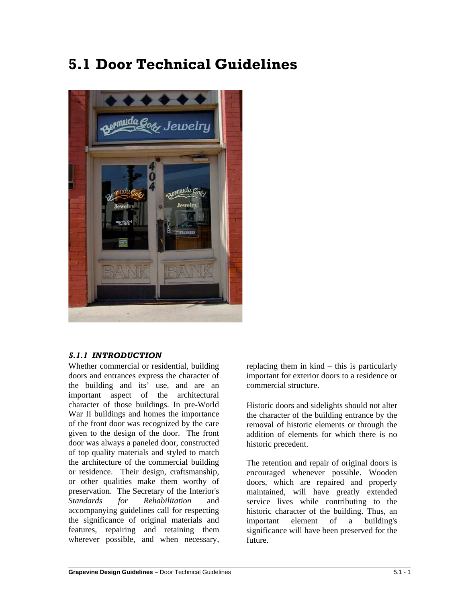# **5.1 Door Technical Guidelines**



# *5.1.1 INTRODUCTION*

Whether commercial or residential, building doors and entrances express the character of the building and its' use, and are an important aspect of the architectural character of those buildings. In pre-World War II buildings and homes the importance of the front door was recognized by the care given to the design of the door. The front door was always a paneled door, constructed of top quality materials and styled to match the architecture of the commercial building or residence. Their design, craftsmanship, or other qualities make them worthy of preservation. The Secretary of the Interior's *Standards for Rehabilitation* and accompanying guidelines call for respecting the significance of original materials and features, repairing and retaining them wherever possible, and when necessary,

replacing them in kind – this is particularly important for exterior doors to a residence or commercial structure.

Historic doors and sidelights should not alter the character of the building entrance by the removal of historic elements or through the addition of elements for which there is no historic precedent.

The retention and repair of original doors is encouraged whenever possible. Wooden doors, which are repaired and properly maintained, will have greatly extended service lives while contributing to the historic character of the building. Thus, an important element of a building's significance will have been preserved for the future.

 $\overline{a}$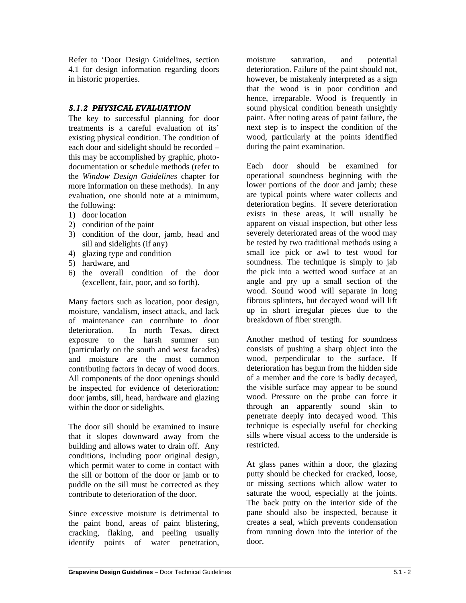Refer to 'Door Design Guidelines, section 4.1 for design information regarding doors in historic properties.

## *5.1.2 PHYSICAL EVALUATION*

The key to successful planning for door treatments is a careful evaluation of its' existing physical condition. The condition of each door and sidelight should be recorded – this may be accomplished by graphic, photodocumentation or schedule methods (refer to the *Window Design Guidelines* chapter for more information on these methods). In any evaluation, one should note at a minimum, the following:

- 1) door location
- 2) condition of the paint
- 3) condition of the door, jamb, head and sill and sidelights (if any)
- 4) glazing type and condition
- 5) hardware, and
- 6) the overall condition of the door (excellent, fair, poor, and so forth).

Many factors such as location, poor design, moisture, vandalism, insect attack, and lack of maintenance can contribute to door deterioration. In north Texas, direct exposure to the harsh summer sun (particularly on the south and west facades) and moisture are the most common contributing factors in decay of wood doors. All components of the door openings should be inspected for evidence of deterioration: door jambs, sill, head, hardware and glazing within the door or sidelights.

The door sill should be examined to insure that it slopes downward away from the building and allows water to drain off. Any conditions, including poor original design, which permit water to come in contact with the sill or bottom of the door or jamb or to puddle on the sill must be corrected as they contribute to deterioration of the door.

Since excessive moisture is detrimental to the paint bond, areas of paint blistering, cracking, flaking, and peeling usually identify points of water penetration, moisture saturation, and potential deterioration. Failure of the paint should not, however, be mistakenly interpreted as a sign that the wood is in poor condition and hence, irreparable. Wood is frequently in sound physical condition beneath unsightly paint. After noting areas of paint failure, the next step is to inspect the condition of the wood, particularly at the points identified during the paint examination.

Each door should be examined for operational soundness beginning with the lower portions of the door and jamb; these are typical points where water collects and deterioration begins. If severe deterioration exists in these areas, it will usually be apparent on visual inspection, but other less severely deteriorated areas of the wood may be tested by two traditional methods using a small ice pick or awl to test wood for soundness. The technique is simply to jab the pick into a wetted wood surface at an angle and pry up a small section of the wood. Sound wood will separate in long fibrous splinters, but decayed wood will lift up in short irregular pieces due to the breakdown of fiber strength.

Another method of testing for soundness consists of pushing a sharp object into the wood, perpendicular to the surface. If deterioration has begun from the hidden side of a member and the core is badly decayed, the visible surface may appear to be sound wood. Pressure on the probe can force it through an apparently sound skin to penetrate deeply into decayed wood. This technique is especially useful for checking sills where visual access to the underside is restricted.

At glass panes within a door, the glazing putty should be checked for cracked, loose, or missing sections which allow water to saturate the wood, especially at the joints. The back putty on the interior side of the pane should also be inspected, because it creates a seal, which prevents condensation from running down into the interior of the door.

 $\overline{a}$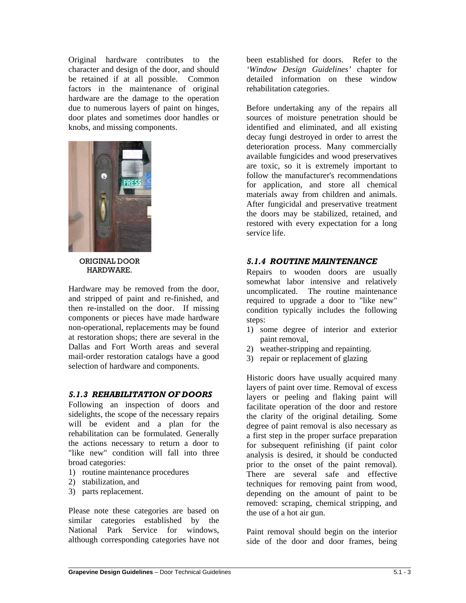Original hardware contributes to the character and design of the door, and should be retained if at all possible. Common factors in the maintenance of original hardware are the damage to the operation due to numerous layers of paint on hinges, door plates and sometimes door handles or knobs, and missing components.



ORIGINAL DOOR HARDWARE.

Hardware may be removed from the door, and stripped of paint and re-finished, and then re-installed on the door. If missing components or pieces have made hardware non-operational, replacements may be found at restoration shops; there are several in the Dallas and Fort Worth areas and several mail-order restoration catalogs have a good selection of hardware and components.

#### *5.1.3 REHABILITATION OF DOORS*

Following an inspection of doors and sidelights, the scope of the necessary repairs will be evident and a plan for the rehabilitation can be formulated. Generally the actions necessary to return a door to "like new" condition will fall into three broad categories:

- 1) routine maintenance procedures
- 2) stabilization, and

 $\overline{a}$ 

3) parts replacement.

Please note these categories are based on similar categories established by the National Park Service for windows, although corresponding categories have not

been established for doors. Refer to the *'Window Design Guidelines'* chapter for detailed information on these window rehabilitation categories.

Before undertaking any of the repairs all sources of moisture penetration should be identified and eliminated, and all existing decay fungi destroyed in order to arrest the deterioration process. Many commercially available fungicides and wood preservatives are toxic, so it is extremely important to follow the manufacturer's recommendations for application, and store all chemical materials away from children and animals. After fungicidal and preservative treatment the doors may be stabilized, retained, and restored with every expectation for a long service life.

## *5.1.4 ROUTINE MAINTENANCE*

Repairs to wooden doors are usually somewhat labor intensive and relatively uncomplicated. The routine maintenance required to upgrade a door to "like new" condition typically includes the following steps:

- 1) some degree of interior and exterior paint removal,
- 2) weather-stripping and repainting.
- 3) repair or replacement of glazing

Historic doors have usually acquired many layers of paint over time. Removal of excess layers or peeling and flaking paint will facilitate operation of the door and restore the clarity of the original detailing. Some degree of paint removal is also necessary as a first step in the proper surface preparation for subsequent refinishing (if paint color analysis is desired, it should be conducted prior to the onset of the paint removal). There are several safe and effective techniques for removing paint from wood, depending on the amount of paint to be removed: scraping, chemical stripping, and the use of a hot air gun.

Paint removal should begin on the interior side of the door and door frames, being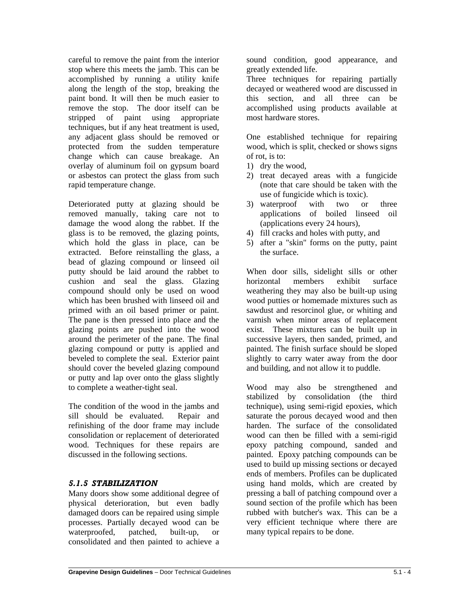careful to remove the paint from the interior stop where this meets the jamb. This can be accomplished by running a utility knife along the length of the stop, breaking the paint bond. It will then be much easier to remove the stop. The door itself can be stripped of paint using appropriate techniques, but if any heat treatment is used, any adjacent glass should be removed or protected from the sudden temperature change which can cause breakage. An overlay of aluminum foil on gypsum board or asbestos can protect the glass from such rapid temperature change.

Deteriorated putty at glazing should be removed manually, taking care not to damage the wood along the rabbet. If the glass is to be removed, the glazing points, which hold the glass in place, can be extracted. Before reinstalling the glass, a bead of glazing compound or linseed oil putty should be laid around the rabbet to cushion and seal the glass. Glazing compound should only be used on wood which has been brushed with linseed oil and primed with an oil based primer or paint. The pane is then pressed into place and the glazing points are pushed into the wood around the perimeter of the pane. The final glazing compound or putty is applied and beveled to complete the seal. Exterior paint should cover the beveled glazing compound or putty and lap over onto the glass slightly to complete a weather-tight seal.

The condition of the wood in the jambs and sill should be evaluated. Repair and refinishing of the door frame may include consolidation or replacement of deteriorated wood. Techniques for these repairs are discussed in the following sections.

# *5.1.5 STABILIZATION*

 $\overline{a}$ 

Many doors show some additional degree of physical deterioration, but even badly damaged doors can be repaired using simple processes. Partially decayed wood can be waterproofed, patched, built-up, or consolidated and then painted to achieve a

sound condition, good appearance, and greatly extended life.

Three techniques for repairing partially decayed or weathered wood are discussed in this section, and all three can be accomplished using products available at most hardware stores.

One established technique for repairing wood, which is split, checked or shows signs of rot, is to:

- 1) dry the wood,
- 2) treat decayed areas with a fungicide (note that care should be taken with the use of fungicide which is toxic).
- 3) waterproof with two or three applications of boiled linseed oil (applications every 24 hours),
- 4) fill cracks and holes with putty, and
- 5) after a "skin" forms on the putty, paint the surface.

When door sills, sidelight sills or other horizontal members exhibit surface weathering they may also be built-up using wood putties or homemade mixtures such as sawdust and resorcinol glue, or whiting and varnish when minor areas of replacement exist. These mixtures can be built up in successive layers, then sanded, primed, and painted. The finish surface should be sloped slightly to carry water away from the door and building, and not allow it to puddle.

Wood may also be strengthened and stabilized by consolidation (the third technique), using semi-rigid epoxies, which saturate the porous decayed wood and then harden. The surface of the consolidated wood can then be filled with a semi-rigid epoxy patching compound, sanded and painted. Epoxy patching compounds can be used to build up missing sections or decayed ends of members. Profiles can be duplicated using hand molds, which are created by pressing a ball of patching compound over a sound section of the profile which has been rubbed with butcher's wax. This can be a very efficient technique where there are many typical repairs to be done.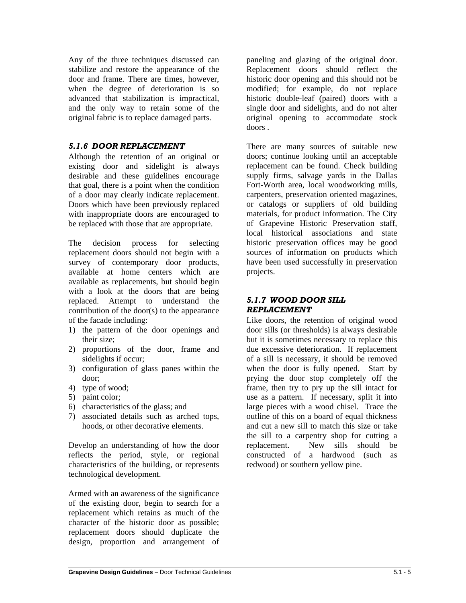Any of the three techniques discussed can stabilize and restore the appearance of the door and frame. There are times, however, when the degree of deterioration is so advanced that stabilization is impractical, and the only way to retain some of the original fabric is to replace damaged parts.

#### *5.1.6 DOOR REPLACEMENT*

Although the retention of an original or existing door and sidelight is always desirable and these guidelines encourage that goal, there is a point when the condition of a door may clearly indicate replacement. Doors which have been previously replaced with inappropriate doors are encouraged to be replaced with those that are appropriate.

The decision process for selecting replacement doors should not begin with a survey of contemporary door products, available at home centers which are available as replacements, but should begin with a look at the doors that are being replaced. Attempt to understand the contribution of the door(s) to the appearance of the facade including:

- 1) the pattern of the door openings and their size;
- 2) proportions of the door, frame and sidelights if occur;
- 3) configuration of glass panes within the door;
- 4) type of wood;
- 5) paint color;

 $\overline{a}$ 

- 6) characteristics of the glass; and
- 7) associated details such as arched tops, hoods, or other decorative elements.

Develop an understanding of how the door reflects the period, style, or regional characteristics of the building, or represents technological development.

Armed with an awareness of the significance of the existing door, begin to search for a replacement which retains as much of the character of the historic door as possible; replacement doors should duplicate the design, proportion and arrangement of

paneling and glazing of the original door. Replacement doors should reflect the historic door opening and this should not be modified; for example, do not replace historic double-leaf (paired) doors with a single door and sidelights, and do not alter original opening to accommodate stock doors .

There are many sources of suitable new doors; continue looking until an acceptable replacement can be found. Check building supply firms, salvage yards in the Dallas Fort-Worth area, local woodworking mills, carpenters, preservation oriented magazines, or catalogs or suppliers of old building materials, for product information. The City of Grapevine Historic Preservation staff, local historical associations and state historic preservation offices may be good sources of information on products which have been used successfully in preservation projects.

#### *5.1.7 WOOD DOOR SILL REPLACEMENT*

Like doors, the retention of original wood door sills (or thresholds) is always desirable but it is sometimes necessary to replace this due excessive deterioration. If replacement of a sill is necessary, it should be removed when the door is fully opened. Start by prying the door stop completely off the frame, then try to pry up the sill intact for use as a pattern. If necessary, split it into large pieces with a wood chisel. Trace the outline of this on a board of equal thickness and cut a new sill to match this size or take the sill to a carpentry shop for cutting a replacement. New sills should be constructed of a hardwood (such as redwood) or southern yellow pine.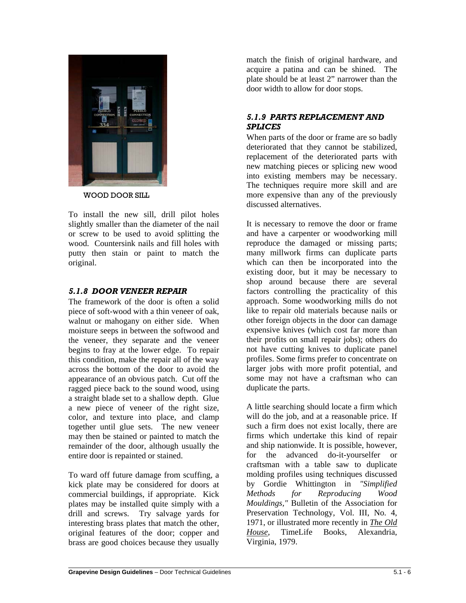

WOOD DOOR SILL

To install the new sill, drill pilot holes slightly smaller than the diameter of the nail or screw to be used to avoid splitting the wood. Countersink nails and fill holes with putty then stain or paint to match the original.

## *5.1.8 DOOR VENEER REPAIR*

The framework of the door is often a solid piece of soft-wood with a thin veneer of oak, walnut or mahogany on either side. When moisture seeps in between the softwood and the veneer, they separate and the veneer begins to fray at the lower edge. To repair this condition, make the repair all of the way across the bottom of the door to avoid the appearance of an obvious patch. Cut off the ragged piece back to the sound wood, using a straight blade set to a shallow depth. Glue a new piece of veneer of the right size, color, and texture into place, and clamp together until glue sets. The new veneer may then be stained or painted to match the remainder of the door, although usually the entire door is repainted or stained.

To ward off future damage from scuffing, a kick plate may be considered for doors at commercial buildings, if appropriate. Kick plates may be installed quite simply with a drill and screws. Try salvage yards for interesting brass plates that match the other, original features of the door; copper and brass are good choices because they usually

match the finish of original hardware, and acquire a patina and can be shined. The plate should be at least 2" narrower than the door width to allow for door stops.

# *5.1.9 PARTS REPLACEMENT AND SPLICES*

When parts of the door or frame are so badly deteriorated that they cannot be stabilized, replacement of the deteriorated parts with new matching pieces or splicing new wood into existing members may be necessary. The techniques require more skill and are more expensive than any of the previously discussed alternatives.

It is necessary to remove the door or frame and have a carpenter or woodworking mill reproduce the damaged or missing parts; many millwork firms can duplicate parts which can then be incorporated into the existing door, but it may be necessary to shop around because there are several factors controlling the practicality of this approach. Some woodworking mills do not like to repair old materials because nails or other foreign objects in the door can damage expensive knives (which cost far more than their profits on small repair jobs); others do not have cutting knives to duplicate panel profiles. Some firms prefer to concentrate on larger jobs with more profit potential, and some may not have a craftsman who can duplicate the parts.

A little searching should locate a firm which will do the job, and at a reasonable price. If such a firm does not exist locally, there are firms which undertake this kind of repair and ship nationwide. It is possible, however, for the advanced do-it-yourselfer or craftsman with a table saw to duplicate molding profiles using techniques discussed by Gordie Whittington in *"Simplified Methods for Reproducing Wood Mouldings,"* Bulletin of the Association for Preservation Technology, Vol. III, No. 4, 1971, or illustrated more recently in *The Old House*, TimeLife Books, Alexandria, Virginia, 1979.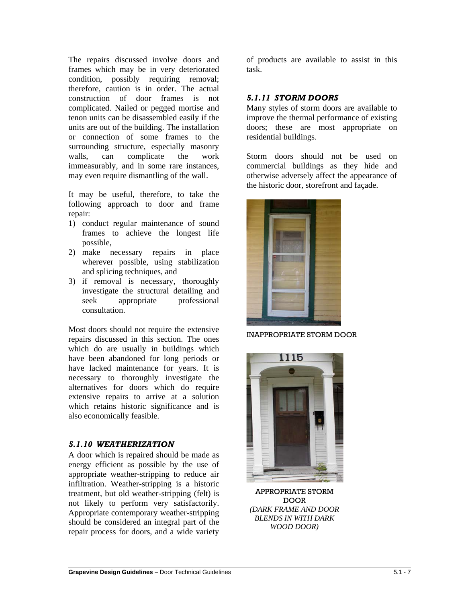The repairs discussed involve doors and frames which may be in very deteriorated condition, possibly requiring removal; therefore, caution is in order. The actual construction of door frames is not complicated. Nailed or pegged mortise and tenon units can be disassembled easily if the units are out of the building. The installation or connection of some frames to the surrounding structure, especially masonry walls, can complicate the work immeasurably, and in some rare instances, may even require dismantling of the wall.

It may be useful, therefore, to take the following approach to door and frame repair:

- 1) conduct regular maintenance of sound frames to achieve the longest life possible,
- 2) make necessary repairs in place wherever possible, using stabilization and splicing techniques, and
- 3) if removal is necessary, thoroughly investigate the structural detailing and seek appropriate professional consultation.

Most doors should not require the extensive repairs discussed in this section. The ones which do are usually in buildings which have been abandoned for long periods or have lacked maintenance for years. It is necessary to thoroughly investigate the alternatives for doors which do require extensive repairs to arrive at a solution which retains historic significance and is also economically feasible.

#### *5.1.10 WEATHERIZATION*

 $\overline{a}$ 

A door which is repaired should be made as energy efficient as possible by the use of appropriate weather-stripping to reduce air infiltration. Weather-stripping is a historic treatment, but old weather-stripping (felt) is not likely to perform very satisfactorily. Appropriate contemporary weather-stripping should be considered an integral part of the repair process for doors, and a wide variety

of products are available to assist in this task.

#### *5.1.11 STORM DOORS*

Many styles of storm doors are available to improve the thermal performance of existing doors; these are most appropriate on residential buildings.

Storm doors should not be used on commercial buildings as they hide and otherwise adversely affect the appearance of the historic door, storefront and façade.



INAPPROPRIATE STORM DOOR



APPROPRIATE STORM DOOR *(DARK FRAME AND DOOR BLENDS IN WITH DARK WOOD DOOR)*